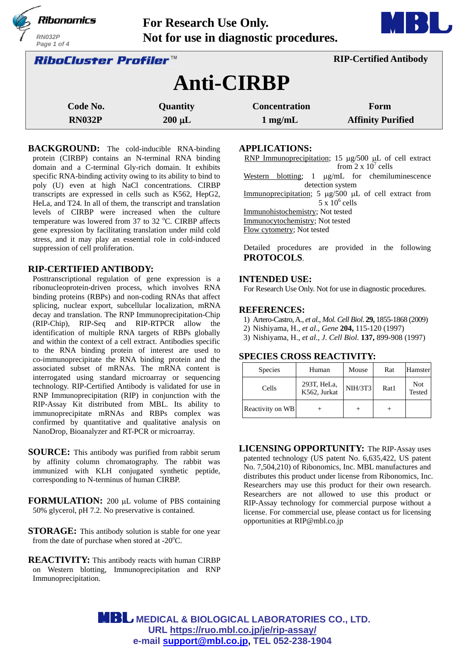

**BACKGROUND:** The cold-inducible RNA-binding protein (CIRBP) contains an N-terminal RNA binding domain and a C-terminal Gly-rich domain. It exhibits specific RNA-binding activity owing to its ability to bind to poly (U) even at high NaCl concentrations. CIRBP transcripts are expressed in cells such as K562, HepG2, HeLa, and T24. In all of them, the transcript and translation levels of CIRBP were increased when the culture temperature was lowered from 37 to 32 °C. CIRBP affects gene expression by facilitating translation under mild cold stress, and it may play an essential role in cold-induced suppression of cell proliferation.

## **RIP-CERTIFIED ANTIBODY:**

Posttranscriptional regulation of gene expression is a ribonucleoprotein-driven process, which involves RNA binding proteins (RBPs) and non-coding RNAs that affect splicing, nuclear export, subcellular localization, mRNA decay and translation. The RNP Immunoprecipitation-Chip (RIP-Chip), RIP-Seq and RIP-RTPCR allow the identification of multiple RNA targets of RBPs globally and within the context of a cell extract. Antibodies specific to the RNA binding protein of interest are used to co-immunoprecipitate the RNA binding protein and the associated subset of mRNAs. The mRNA content is interrogated using standard microarray or sequencing technology. RIP-Certified Antibody is validated for use in RNP Immunoprecipitation (RIP) in conjunction with the RIP-Assay Kit distributed from MBL. Its ability to immunoprecipitate mRNAs and RBPs complex was confirmed by quantitative and qualitative analysis on NanoDrop, Bioanalyzer and RT-PCR or microarray.

- **SOURCE:** This antibody was purified from rabbit serum by affinity column chromatography. The rabbit was immunized with KLH conjugated synthetic peptide, corresponding to N-terminus of human CIRBP.
- **FORMULATION:** 200 µL volume of PBS containing 50% glycerol, pH 7.2. No preservative is contained.
- **STORAGE:** This antibody solution is stable for one year from the date of purchase when stored at  $-20^{\circ}$ C.
- **REACTIVITY:** This antibody reacts with human CIRBP on Western blotting, Immunoprecipitation and RNP Immunoprecipitation.

## **APPLICATIONS:**

RNP Immunoprecipitation; 15  $\mu$ g/500  $\mu$ L of cell extract from  $2 \times 10^7$  cells Western blotting;  $1 \mu g/mL$  for chemiluminescence detection system Immunoprecipitation; 5  $\mu$ g/500  $\mu$ L of cell extract from  $5 \times 10^6$  cells Immunohistochemistry; Not tested Immunocytochemistry; Not tested Flow cytometry; Not tested

Detailed procedures are provided in the following **PROTOCOLS**.

# **INTENDED USE:**

For Research Use Only. Not for use in diagnostic procedures.

## **REFERENCES:**

- 1) Artero-Castro, A., *et al*., *Mol. Cell Biol*. **29,** 1855-1868 (2009)
- 2) Nishiyama, H., *et al*., *Gene* **204,** 115-120 (1997)
- 3) Nishiyama, H., *et al*., *J. Cell Biol*. **137,** 899-908 (1997)

# **SPECIES CROSS REACTIVITY:**

| <b>Species</b>   | Human                       | Mouse          | Rat  | Hamster              |
|------------------|-----------------------------|----------------|------|----------------------|
| Cells            | 293T, HeLa,<br>K562, Jurkat | <b>NIH/3T3</b> | Rat1 | <b>Not</b><br>Tested |
| Reactivity on WB |                             |                |      |                      |

**LICENSING OPPORTUNITY:** The RIP-Assay uses patented technology (US patent No. 6,635,422, US patent No. 7,504,210) of Ribonomics, Inc. MBL manufactures and distributes this product under license from Ribonomics, Inc. Researchers may use this product for their own research. Researchers are not allowed to use this product or RIP-Assay technology for commercial purpose without a license. For commercial use, please contact us for licensing opportunities at RIP@mbl.co.jp

**MBL** MEDICAL & BIOLOGICAL LABORATORIES CO., LTD. **URL https://ruo.mbl.co.jp/je/rip-assay/ e-mail support@mbl.co.jp, TEL 052-238-1904**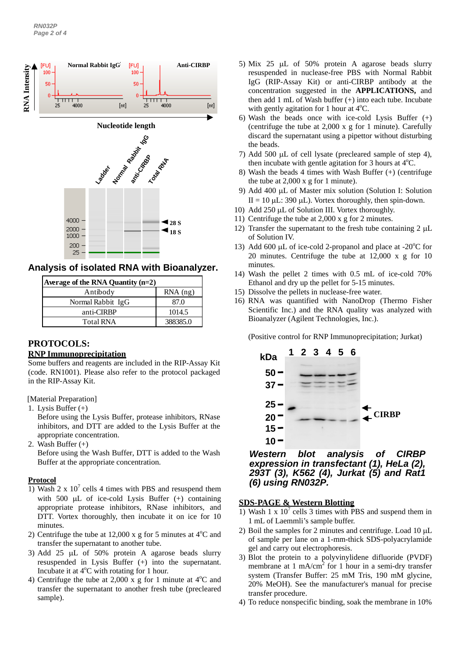

**Analysis of isolated RNA with Bioanalyzer.**

| Average of the RNA Quantity $(n=2)$ |            |  |
|-------------------------------------|------------|--|
| Antibody                            | $RNA$ (ng) |  |
| Normal Rabbit IgG                   | 87.0       |  |
| anti-CIRBP                          | 1014.5     |  |
| <b>Total RNA</b>                    | 388385.0   |  |

# **PROTOCOLS:**

#### **RNP Immunoprecipitation**

Some buffers and reagents are included in the RIP-Assay Kit (code. RN1001). Please also refer to the protocol packaged in the RIP-Assay Kit.

[Material Preparation]

1. Lysis Buffer (+)

Before using the Lysis Buffer, protease inhibitors, RNase inhibitors, and DTT are added to the Lysis Buffer at the appropriate concentration.

2. Wash Buffer  $(+)$ 

Before using the Wash Buffer, DTT is added to the Wash Buffer at the appropriate concentration.

#### **Protocol**

- 1) Wash 2 x  $10^7$  cells 4 times with PBS and resuspend them with 500  $\mu$ L of ice-cold Lysis Buffer (+) containing appropriate protease inhibitors, RNase inhibitors, and DTT. Vortex thoroughly, then incubate it on ice for 10 minutes.
- 2) Centrifuge the tube at 12,000 x g for 5 minutes at  $4^{\circ}$ C and transfer the supernatant to another tube.
- 3) Add 25  $\mu$ L of 50% protein A agarose beads slurry resuspended in Lysis Buffer (+) into the supernatant. Incubate it at  $4^{\circ}$ C with rotating for 1 hour.
- 4) Centrifuge the tube at 2,000 x g for 1 minute at  $4^{\circ}$ C and transfer the supernatant to another fresh tube (precleared sample).
- 5) Mix 25  $\mu$ L of 50% protein A agarose beads slurry resuspended in nuclease-free PBS with Normal Rabbit IgG (RIP-Assay Kit) or anti-CIRBP antibody at the concentration suggested in the **APPLICATIONS,** and then add 1 mL of Wash buffer (+) into each tube. Incubate with gently agitation for 1 hour at  $4^{\circ}$ C.
- 6) Wash the beads once with ice-cold Lysis Buffer (+) (centrifuge the tube at 2,000 x g for 1 minute). Carefully discard the supernatant using a pipettor without disturbing the beads.
- 7) Add 500  $\mu$ L of cell lysate (precleared sample of step 4), then incubate with gentle agitation for 3 hours at  $4^{\circ}$ C.
- 8) Wash the beads 4 times with Wash Buffer (+) (centrifuge the tube at 2,000 x g for 1 minute).
- 9) Add 400 µL of Master mix solution (Solution I: Solution II = 10  $\mu$ L: 390  $\mu$ L). Vortex thoroughly, then spin-down.
- 10) Add  $250 \mu L$  of Solution III. Vortex thoroughly.
- 11) Centrifuge the tube at 2,000 x g for 2 minutes.
- 12) Transfer the supernatant to the fresh tube containing  $2 \mu L$ of Solution IV.
- 13) Add 600 µL of ice-cold 2-propanol and place at -20 $^{\circ}$ C for 20 minutes. Centrifuge the tube at 12,000 x g for 10 minutes.
- 14) Wash the pellet 2 times with 0.5 mL of ice-cold 70% Ethanol and dry up the pellet for 5-15 minutes.
- 15) Dissolve the pellets in nuclease-free water.
- 16) RNA was quantified with NanoDrop (Thermo Fisher Scientific Inc.) and the RNA quality was analyzed with Bioanalyzer (Agilent Technologies, Inc.).

(Positive control for RNP Immunoprecipitation; Jurkat)



*Western blot analysis of CIRBP expression in transfectant (1), HeLa (2), 293T (3), K562 (4), Jurkat (5) and Rat1 (6) using RN032P.*

# **SDS-PAGE & Western Blotting**

- 1) Wash 1 x  $10<sup>7</sup>$  cells 3 times with PBS and suspend them in 1 mL of Laemmli's sample buffer.
- 2) Boil the samples for 2 minutes and centrifuge. Load  $10 \mu L$ of sample per lane on a 1-mm-thick SDS-polyacrylamide gel and carry out electrophoresis.
- 3) Blot the protein to a polyvinylidene difluoride (PVDF) membrane at 1 mA/cm<sup>2</sup> for 1 hour in a semi-dry transfer system (Transfer Buffer: 25 mM Tris, 190 mM glycine, 20% MeOH). See the manufacturer's manual for precise transfer procedure.
- 4) To reduce nonspecific binding, soak the membrane in 10%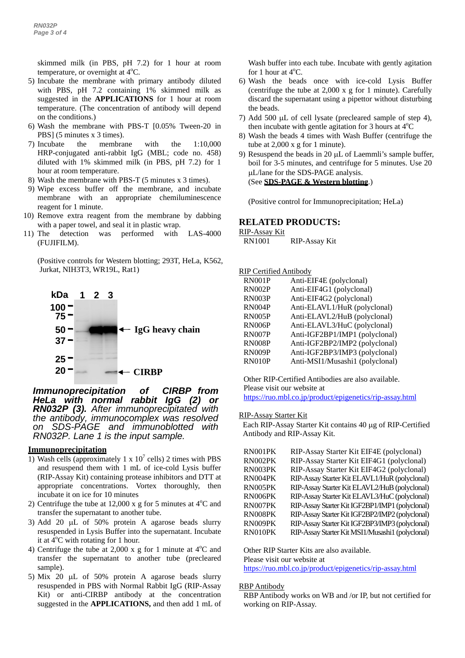skimmed milk (in PBS, pH 7.2) for 1 hour at room temperature, or overnight at 4°C.

- 5) Incubate the membrane with primary antibody diluted with PBS, pH 7.2 containing 1% skimmed milk as suggested in the **APPLICATIONS** for 1 hour at room temperature. (The concentration of antibody will depend on the conditions.)
- 6) Wash the membrane with PBS-T [0.05% Tween-20 in PBS] (5 minutes x 3 times).
- 7) Incubate the membrane with the 1:10,000 HRP-conjugated anti-rabbit IgG (MBL; code no. 458) diluted with 1% skimmed milk (in PBS, pH 7.2) for 1 hour at room temperature.
- 8) Wash the membrane with PBS-T (5 minutes x 3 times).
- 9) Wipe excess buffer off the membrane, and incubate membrane with an appropriate chemiluminescence reagent for 1 minute.
- 10) Remove extra reagent from the membrane by dabbing with a paper towel, and seal it in plastic wrap.
- 11) The detection was performed with LAS-4000 (FUJIFILM).

(Positive controls for Western blotting; 293T, HeLa, K562, Jurkat, NIH3T3, WR19L, Rat1)



*Immunoprecipitation of CIRBP from HeLa with normal rabbit IgG (2) or RN032P (3). After immunoprecipitated with the antibody, immunocomplex was resolved on SDS-PAGE and immunoblotted with RN032P. Lane 1 is the input sample.*

#### **Immunoprecipitation**

- 1) Wash cells (approximately 1 x  $10^7$  cells) 2 times with PBS and resuspend them with 1 mL of ice-cold Lysis buffer (RIP-Assay Kit) containing protease inhibitors and DTT at appropriate concentrations. Vortex thoroughly, then incubate it on ice for 10 minutes
- 2) Centrifuge the tube at  $12,000 \times g$  for 5 minutes at  $4^{\circ}$ C and transfer the supernatant to another tube.
- 3) Add 20  $\mu$ L of 50% protein A agarose beads slurry resuspended in Lysis Buffer into the supernatant. Incubate it at  $4^{\circ}$ C with rotating for 1 hour.
- 4) Centrifuge the tube at 2,000 x g for 1 minute at  $4^{\circ}$ C and transfer the supernatant to another tube (precleared sample).
- 5) Mix 20  $\mu$ L of 50% protein A agarose beads slurry resuspended in PBS with Normal Rabbit IgG (RIP-Assay Kit) or anti-CIRBP antibody at the concentration suggested in the **APPLICATIONS,** and then add 1 mL of

Wash buffer into each tube. Incubate with gently agitation for 1 hour at  $4^{\circ}$ C.

- 6) Wash the beads once with ice-cold Lysis Buffer (centrifuge the tube at 2,000 x g for 1 minute). Carefully discard the supernatant using a pipettor without disturbing the beads.
- 7) Add 500  $\mu$ L of cell lysate (precleared sample of step 4), then incubate with gentle agitation for 3 hours at  $4^{\circ}$ C
- 8) Wash the beads 4 times with Wash Buffer (centrifuge the tube at 2,000 x g for 1 minute).
- 9) Resuspend the beads in 20  $\mu$ L of Laemmli's sample buffer, boil for 3-5 minutes, and centrifuge for 5 minutes. Use 20 L/lane for the SDS-PAGE analysis. (See **SDS-PAGE & Western blotting**.)

(Positive control for Immunoprecipitation; HeLa)

#### **RELATED PRODUCTS:**

RIP-Assay Kit

RN1001 RIP-Assay Kit

RIP Certified Antibody

| <b>RN001P</b> | Anti-EIF4E (polyclonal)         |
|---------------|---------------------------------|
| <b>RN002P</b> | Anti-EIF4G1 (polyclonal)        |
| <b>RN003P</b> | Anti-EIF4G2 (polyclonal)        |
| <b>RN004P</b> | Anti-ELAVL1/HuR (polyclonal)    |
| <b>RN005P</b> | Anti-ELAVL2/HuB (polyclonal)    |
| <b>RN006P</b> | Anti-ELAVL3/HuC (polyclonal)    |
| <b>RN007P</b> | Anti-IGF2BP1/IMP1 (polyclonal)  |
| <b>RN008P</b> | Anti-IGF2BP2/IMP2 (polyclonal)  |
| <b>RN009P</b> | Anti-IGF2BP3/IMP3 (polyclonal)  |
| <b>RN010P</b> | Anti-MSI1/Musashi1 (polyclonal) |

Other RIP-Certified Antibodies are also available. Please visit our website at

https://ruo.mbl.co.jp/product/epigenetics/rip-assay.html

#### RIP-Assay Starter Kit

Each RIP-Assay Starter Kit contains 40 µg of RIP-Certified Antibody and RIP-Assay Kit.

| RN001PK | RIP-Assay Starter Kit EIF4E (polyclonal)         |
|---------|--------------------------------------------------|
| RN002PK | RIP-Assay Starter Kit EIF4G1 (polyclonal)        |
| RN003PK | RIP-Assay Starter Kit EIF4G2 (polyclonal)        |
| RN004PK | RIP-Assay Starter Kit ELAVL1/HuR (polyclonal)    |
| RN005PK | RIP-Assay Starter Kit ELAVL2/HuB (polyclonal)    |
| RN006PK | RIP-Assay Starter Kit ELAVL3/HuC (polyclonal)    |
| RN007PK | RIP-Assay Starter Kit IGF2BP1/IMP1 (polyclonal)  |
| RN008PK | RIP-Assay Starter Kit IGF2BP2/IMP2 (polyclonal)  |
| RN009PK | RIP-Assay Starter Kit IGF2BP3/IMP3 (polyclonal)  |
| RN010PK | RIP-Assay Starter Kit MSI1/Musashi1 (polyclonal) |

Other RIP Starter Kits are also available.

Please visit our website at

https://ruo.mbl.co.jp/product/epigenetics/rip-assay.html

#### RBP Antibody

RBP Antibody works on WB and /or IP, but not certified for working on RIP-Assay.